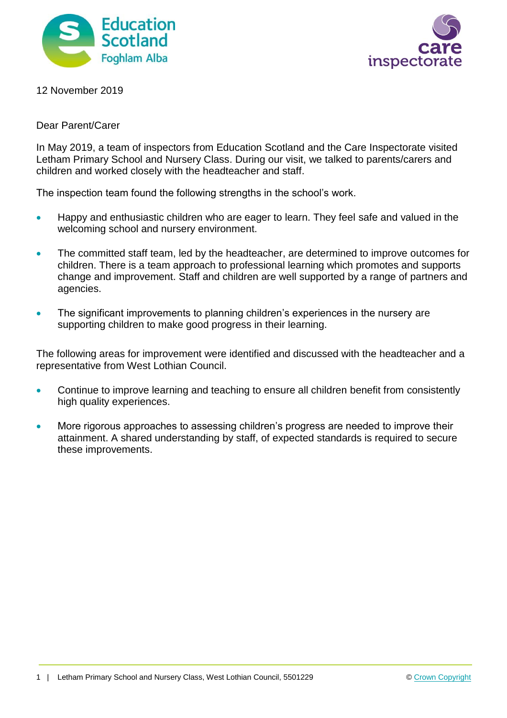



12 November 2019

## Dear Parent/Carer

In May 2019, a team of inspectors from Education Scotland and the Care Inspectorate visited Letham Primary School and Nursery Class. During our visit, we talked to parents/carers and children and worked closely with the headteacher and staff.

The inspection team found the following strengths in the school's work.

- Happy and enthusiastic children who are eager to learn. They feel safe and valued in the welcoming school and nursery environment.
- The committed staff team, led by the headteacher, are determined to improve outcomes for children. There is a team approach to professional learning which promotes and supports change and improvement. Staff and children are well supported by a range of partners and agencies.
- The significant improvements to planning children's experiences in the nursery are supporting children to make good progress in their learning.

The following areas for improvement were identified and discussed with the headteacher and a representative from West Lothian Council.

- Continue to improve learning and teaching to ensure all children benefit from consistently high quality experiences.
- More rigorous approaches to assessing children's progress are needed to improve their attainment. A shared understanding by staff, of expected standards is required to secure these improvements.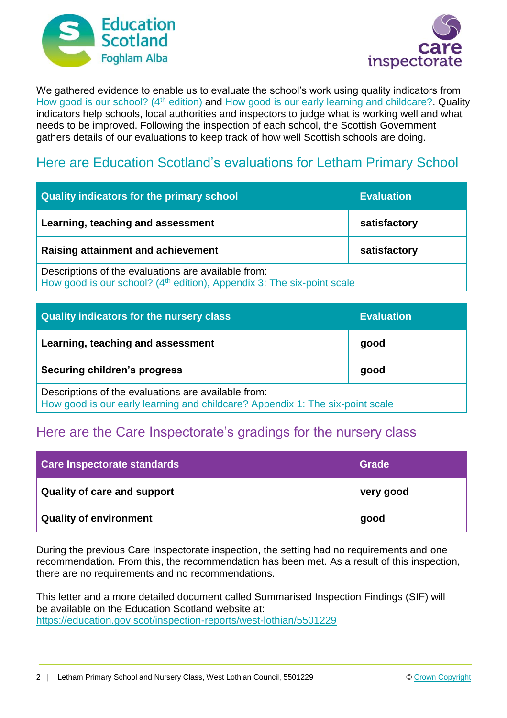



We gathered evidence to enable us to evaluate the school's work using quality indicators from [How good is our school? \(4](https://education.gov.scot/improvement/Documents/Frameworks_SelfEvaluation/FRWK2_NIHeditHGIOS/FRWK2_HGIOS4.pdf)<sup>th</sup> edition) and [How good is our early learning and childcare?.](https://education.gov.scot/improvement/Documents/Frameworks_SelfEvaluation/FRWK1_NIHeditSelf-evaluationHGIELC/HGIOELC020316Revised.pdf) Quality indicators help schools, local authorities and inspectors to judge what is working well and what needs to be improved. Following the inspection of each school, the Scottish Government gathers details of our evaluations to keep track of how well Scottish schools are doing.

## Here are Education Scotland's evaluations for Letham Primary School

| Quality indicators for the primary school                                                                                                 | <b>Evaluation</b> |
|-------------------------------------------------------------------------------------------------------------------------------------------|-------------------|
| Learning, teaching and assessment                                                                                                         | satisfactory      |
| <b>Raising attainment and achievement</b>                                                                                                 | satisfactory      |
| Descriptions of the evaluations are available from:<br>How good is our school? (4 <sup>th</sup> edition), Appendix 3: The six-point scale |                   |

| <b>Quality indicators for the nursery class</b>                                                                                      | <b>Evaluation</b> |
|--------------------------------------------------------------------------------------------------------------------------------------|-------------------|
| Learning, teaching and assessment                                                                                                    | good              |
| Securing children's progress                                                                                                         | good              |
| Descriptions of the evaluations are available from:<br>How good is our early learning and childcare? Appendix 1: The six-point scale |                   |

## Here are the Care Inspectorate's gradings for the nursery class

| Care Inspectorate standards   | Grade     |
|-------------------------------|-----------|
| Quality of care and support   | very good |
| <b>Quality of environment</b> | good      |

During the previous Care Inspectorate inspection, the setting had no requirements and one recommendation. From this, the recommendation has been met. As a result of this inspection, there are no requirements and no recommendations.

This letter and a more detailed document called Summarised Inspection Findings (SIF) will be available on the Education Scotland website at: <https://education.gov.scot/inspection-reports/west-lothian/5501229>